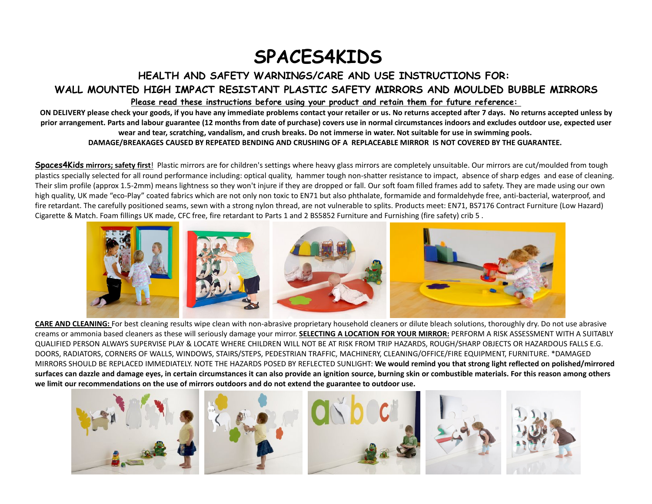## SPACES4KIDS

## HEALTH AND SAFETY WARNINGS/CARE AND USE INSTRUCTIONS FOR:

WALL MOUNTED HIGH IMPACT RESISTANT PLASTIC SAFETY MIRRORS AND MOULDED BUBBLE MIRRORS

Please read these instructions before using your product and retain them for future reference:

 ON DELIVERY please check your goods, if you have any immediate problems contact your retailer or us. No returns accepted after 7 days. No returns accepted unless by prior arrangement. Parts and labour guarantee (12 months from date of purchase) covers use in normal circumstances indoors and excludes outdoor use, expected user wear and tear, scratching, vandalism, and crush breaks. Do not immerse in water. Not suitable for use in swimming pools. DAMAGE/BREAKAGES CAUSED BY REPEATED BENDING AND CRUSHING OF A REPLACEABLE MIRROR IS NOT COVERED BY THE GUARANTEE.

**Spaces4Kids mirrors; safety first**! Plastic mirrors are for children's settings where heavy glass mirrors are completely unsuitable. Our mirrors are cut/moulded from tough plastics specially selected for all round performance including: optical quality, hammer tough non-shatter resistance to impact, absence of sharp edges and ease of cleaning. Their slim profile (approx 1.5-2mm) means lightness so they won't injure if they are dropped or fall. Our soft foam filled frames add to safety. They are made using our own high quality, UK made "eco-Play" coated fabrics which are not only non toxic to EN71 but also phthalate, formamide and formaldehyde free, anti-bacterial, waterproof, and fire retardant. The carefully positioned seams, sewn with a strong nylon thread, are not vulnerable to splits. Products meet: EN71, BS7176 Contract Furniture (Low Hazard) Cigarette & Match. Foam fillings UK made, CFC free, fire retardant to Parts 1 and 2 BS5852 Furniture and Furnishing (fire safety) crib 5 .



CARE AND CLEANING: For best cleaning results wipe clean with non-abrasive proprietary household cleaners or dilute bleach solutions, thoroughly dry. Do not use abrasive creams or ammonia based cleaners as these will seriously damage your mirror. SELECTING A LOCATION FOR YOUR MIRROR: PERFORM A RISK ASSESSMENT WITH A SUITABLY QUALIFIED PERSON ALWAYS SUPERVISE PLAY & LOCATE WHERE CHILDREN WILL NOT BE AT RISK FROM TRIP HAZARDS, ROUGH/SHARP OBJECTS OR HAZARDOUS FALLS E.G. DOORS, RADIATORS, CORNERS OF WALLS, WINDOWS, STAIRS/STEPS, PEDESTRIAN TRAFFIC, MACHINERY, CLEANING/OFFICE/FIRE EQUIPMENT, FURNITURE. \*DAMAGED MIRRORS SHOULD BE REPLACED IMMEDIATELY. NOTE THE HAZARDS POSED BY REFLECTED SUNLIGHT: We would remind you that strong light reflected on polished/mirrored surfaces can dazzle and damage eyes, in certain circumstances it can also provide an ignition source, burning skin or combustible materials. For this reason among others we limit our recommendations on the use of mirrors outdoors and do not extend the guarantee to outdoor use.